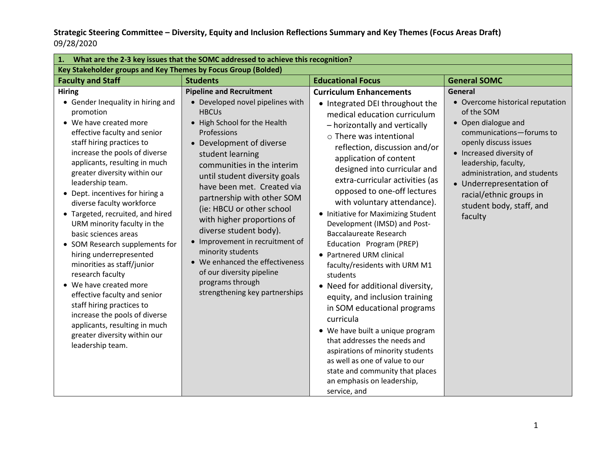| What are the 2-3 key issues that the SOMC addressed to achieve this recognition?<br>1.                                                                                                                                                                                                                                                                                                                                                                                                                                                                                                                                                                                                                                                                            |                                                                                                                                                                                                                                                                                                                                                                                                                                                                                                                                                                                  |                                                                                                                                                                                                                                                                                                                                                                                                                                                                                                                                                                                                                                                                                                                                                                                                                                                                                                                           |                                                                                                                                                                                                                                                                                                                         |  |  |
|-------------------------------------------------------------------------------------------------------------------------------------------------------------------------------------------------------------------------------------------------------------------------------------------------------------------------------------------------------------------------------------------------------------------------------------------------------------------------------------------------------------------------------------------------------------------------------------------------------------------------------------------------------------------------------------------------------------------------------------------------------------------|----------------------------------------------------------------------------------------------------------------------------------------------------------------------------------------------------------------------------------------------------------------------------------------------------------------------------------------------------------------------------------------------------------------------------------------------------------------------------------------------------------------------------------------------------------------------------------|---------------------------------------------------------------------------------------------------------------------------------------------------------------------------------------------------------------------------------------------------------------------------------------------------------------------------------------------------------------------------------------------------------------------------------------------------------------------------------------------------------------------------------------------------------------------------------------------------------------------------------------------------------------------------------------------------------------------------------------------------------------------------------------------------------------------------------------------------------------------------------------------------------------------------|-------------------------------------------------------------------------------------------------------------------------------------------------------------------------------------------------------------------------------------------------------------------------------------------------------------------------|--|--|
| Key Stakeholder groups and Key Themes by Focus Group (Bolded)                                                                                                                                                                                                                                                                                                                                                                                                                                                                                                                                                                                                                                                                                                     |                                                                                                                                                                                                                                                                                                                                                                                                                                                                                                                                                                                  |                                                                                                                                                                                                                                                                                                                                                                                                                                                                                                                                                                                                                                                                                                                                                                                                                                                                                                                           |                                                                                                                                                                                                                                                                                                                         |  |  |
| <b>Faculty and Staff</b>                                                                                                                                                                                                                                                                                                                                                                                                                                                                                                                                                                                                                                                                                                                                          | <b>Students</b>                                                                                                                                                                                                                                                                                                                                                                                                                                                                                                                                                                  | <b>Educational Focus</b>                                                                                                                                                                                                                                                                                                                                                                                                                                                                                                                                                                                                                                                                                                                                                                                                                                                                                                  | <b>General SOMC</b>                                                                                                                                                                                                                                                                                                     |  |  |
| <b>Hiring</b><br>• Gender Inequality in hiring and<br>promotion<br>• We have created more<br>effective faculty and senior<br>staff hiring practices to<br>increase the pools of diverse<br>applicants, resulting in much<br>greater diversity within our<br>leadership team.<br>• Dept. incentives for hiring a<br>diverse faculty workforce<br>Targeted, recruited, and hired<br>URM minority faculty in the<br>basic sciences areas<br>• SOM Research supplements for<br>hiring underrepresented<br>minorities as staff/junior<br>research faculty<br>• We have created more<br>effective faculty and senior<br>staff hiring practices to<br>increase the pools of diverse<br>applicants, resulting in much<br>greater diversity within our<br>leadership team. | <b>Pipeline and Recruitment</b><br>• Developed novel pipelines with<br><b>HBCUs</b><br>• High School for the Health<br>Professions<br>• Development of diverse<br>student learning<br>communities in the interim<br>until student diversity goals<br>have been met. Created via<br>partnership with other SOM<br>(ie: HBCU or other school<br>with higher proportions of<br>diverse student body).<br>• Improvement in recruitment of<br>minority students<br>• We enhanced the effectiveness<br>of our diversity pipeline<br>programs through<br>strengthening key partnerships | <b>Curriculum Enhancements</b><br>• Integrated DEI throughout the<br>medical education curriculum<br>- horizontally and vertically<br>$\circ$ There was intentional<br>reflection, discussion and/or<br>application of content<br>designed into curricular and<br>extra-curricular activities (as<br>opposed to one-off lectures<br>with voluntary attendance).<br>• Initiative for Maximizing Student<br>Development (IMSD) and Post-<br><b>Baccalaureate Research</b><br>Education Program (PREP)<br>• Partnered URM clinical<br>faculty/residents with URM M1<br>students<br>• Need for additional diversity,<br>equity, and inclusion training<br>in SOM educational programs<br>curricula<br>• We have built a unique program<br>that addresses the needs and<br>aspirations of minority students<br>as well as one of value to our<br>state and community that places<br>an emphasis on leadership,<br>service, and | General<br>• Overcome historical reputation<br>of the SOM<br>• Open dialogue and<br>communications-forums to<br>openly discuss issues<br>• Increased diversity of<br>leadership, faculty,<br>administration, and students<br>• Underrepresentation of<br>racial/ethnic groups in<br>student body, staff, and<br>faculty |  |  |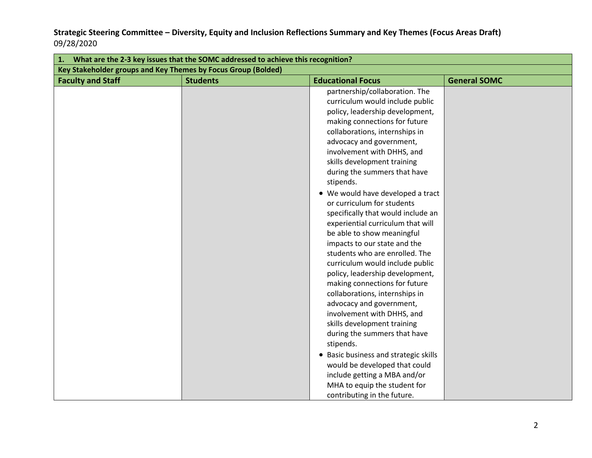| What are the 2-3 key issues that the SOMC addressed to achieve this recognition?<br>1. |                 |                                                                                                                                                                                                                                                                                                                                                                                                                                                                                                                                                                                                                                                                                                                                                                                                                                                                                                                                                                                                                     |                     |  |  |
|----------------------------------------------------------------------------------------|-----------------|---------------------------------------------------------------------------------------------------------------------------------------------------------------------------------------------------------------------------------------------------------------------------------------------------------------------------------------------------------------------------------------------------------------------------------------------------------------------------------------------------------------------------------------------------------------------------------------------------------------------------------------------------------------------------------------------------------------------------------------------------------------------------------------------------------------------------------------------------------------------------------------------------------------------------------------------------------------------------------------------------------------------|---------------------|--|--|
| Key Stakeholder groups and Key Themes by Focus Group (Bolded)                          |                 |                                                                                                                                                                                                                                                                                                                                                                                                                                                                                                                                                                                                                                                                                                                                                                                                                                                                                                                                                                                                                     |                     |  |  |
| <b>Faculty and Staff</b>                                                               | <b>Students</b> | <b>Educational Focus</b>                                                                                                                                                                                                                                                                                                                                                                                                                                                                                                                                                                                                                                                                                                                                                                                                                                                                                                                                                                                            | <b>General SOMC</b> |  |  |
|                                                                                        |                 | partnership/collaboration. The<br>curriculum would include public<br>policy, leadership development,<br>making connections for future<br>collaborations, internships in<br>advocacy and government,<br>involvement with DHHS, and<br>skills development training<br>during the summers that have<br>stipends.<br>• We would have developed a tract<br>or curriculum for students<br>specifically that would include an<br>experiential curriculum that will<br>be able to show meaningful<br>impacts to our state and the<br>students who are enrolled. The<br>curriculum would include public<br>policy, leadership development,<br>making connections for future<br>collaborations, internships in<br>advocacy and government,<br>involvement with DHHS, and<br>skills development training<br>during the summers that have<br>stipends.<br>• Basic business and strategic skills<br>would be developed that could<br>include getting a MBA and/or<br>MHA to equip the student for<br>contributing in the future. |                     |  |  |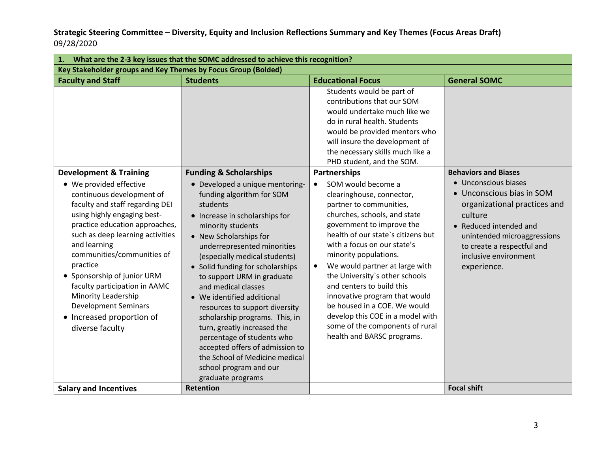| What are the 2-3 key issues that the SOMC addressed to achieve this recognition?<br>1.                                                                                                                                                                                                                                                                                                                                                                            |                                                                                                                                                                                                                                                                                                                                                                                                                                                                                                                                                                                             |                                                                                                                                                                                                                                                                                                                                                                                                                                                                                                                                                                                                                                                                                                                                                                                                                       |                                                                                                                                                                                                                                                            |  |  |
|-------------------------------------------------------------------------------------------------------------------------------------------------------------------------------------------------------------------------------------------------------------------------------------------------------------------------------------------------------------------------------------------------------------------------------------------------------------------|---------------------------------------------------------------------------------------------------------------------------------------------------------------------------------------------------------------------------------------------------------------------------------------------------------------------------------------------------------------------------------------------------------------------------------------------------------------------------------------------------------------------------------------------------------------------------------------------|-----------------------------------------------------------------------------------------------------------------------------------------------------------------------------------------------------------------------------------------------------------------------------------------------------------------------------------------------------------------------------------------------------------------------------------------------------------------------------------------------------------------------------------------------------------------------------------------------------------------------------------------------------------------------------------------------------------------------------------------------------------------------------------------------------------------------|------------------------------------------------------------------------------------------------------------------------------------------------------------------------------------------------------------------------------------------------------------|--|--|
| Key Stakeholder groups and Key Themes by Focus Group (Bolded)                                                                                                                                                                                                                                                                                                                                                                                                     |                                                                                                                                                                                                                                                                                                                                                                                                                                                                                                                                                                                             |                                                                                                                                                                                                                                                                                                                                                                                                                                                                                                                                                                                                                                                                                                                                                                                                                       |                                                                                                                                                                                                                                                            |  |  |
| <b>Faculty and Staff</b>                                                                                                                                                                                                                                                                                                                                                                                                                                          | <b>Students</b>                                                                                                                                                                                                                                                                                                                                                                                                                                                                                                                                                                             | <b>Educational Focus</b>                                                                                                                                                                                                                                                                                                                                                                                                                                                                                                                                                                                                                                                                                                                                                                                              | <b>General SOMC</b>                                                                                                                                                                                                                                        |  |  |
| <b>Development &amp; Training</b><br>• We provided effective<br>continuous development of<br>faculty and staff regarding DEI<br>using highly engaging best-<br>practice education approaches,<br>such as deep learning activities<br>and learning<br>communities/communities of<br>practice<br>• Sponsorship of junior URM<br>faculty participation in AAMC<br>Minority Leadership<br><b>Development Seminars</b><br>• Increased proportion of<br>diverse faculty | <b>Funding &amp; Scholarships</b><br>· Developed a unique mentoring-<br>funding algorithm for SOM<br>students<br>• Increase in scholarships for<br>minority students<br>• New Scholarships for<br>underrepresented minorities<br>(especially medical students)<br>• Solid funding for scholarships<br>to support URM in graduate<br>and medical classes<br>• We identified additional<br>resources to support diversity<br>scholarship programs. This, in<br>turn, greatly increased the<br>percentage of students who<br>accepted offers of admission to<br>the School of Medicine medical | Students would be part of<br>contributions that our SOM<br>would undertake much like we<br>do in rural health. Students<br>would be provided mentors who<br>will insure the development of<br>the necessary skills much like a<br>PHD student, and the SOM.<br>Partnerships<br>SOM would become a<br>$\bullet$<br>clearinghouse, connector,<br>partner to communities,<br>churches, schools, and state<br>government to improve the<br>health of our state's citizens but<br>with a focus on our state's<br>minority populations.<br>We would partner at large with<br>$\bullet$<br>the University's other schools<br>and centers to build this<br>innovative program that would<br>be housed in a COE. We would<br>develop this COE in a model with<br>some of the components of rural<br>health and BARSC programs. | <b>Behaviors and Biases</b><br>• Unconscious biases<br>• Unconscious bias in SOM<br>organizational practices and<br>culture<br>• Reduced intended and<br>unintended microaggressions<br>to create a respectful and<br>inclusive environment<br>experience. |  |  |
|                                                                                                                                                                                                                                                                                                                                                                                                                                                                   | school program and our<br>graduate programs                                                                                                                                                                                                                                                                                                                                                                                                                                                                                                                                                 |                                                                                                                                                                                                                                                                                                                                                                                                                                                                                                                                                                                                                                                                                                                                                                                                                       |                                                                                                                                                                                                                                                            |  |  |
| <b>Salary and Incentives</b>                                                                                                                                                                                                                                                                                                                                                                                                                                      | <b>Retention</b>                                                                                                                                                                                                                                                                                                                                                                                                                                                                                                                                                                            |                                                                                                                                                                                                                                                                                                                                                                                                                                                                                                                                                                                                                                                                                                                                                                                                                       | <b>Focal shift</b>                                                                                                                                                                                                                                         |  |  |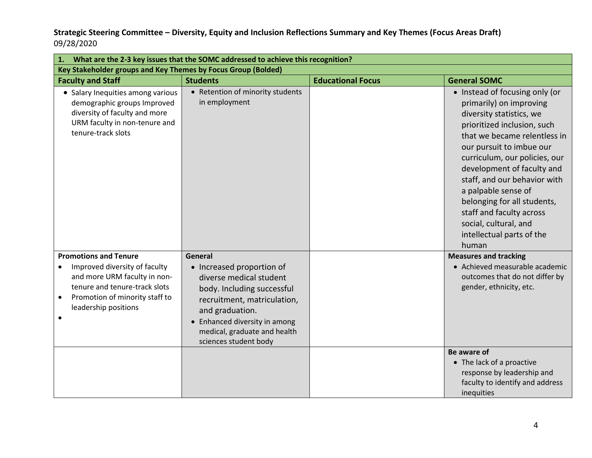|                                                                                                                                                                                                       | What are the 2-3 key issues that the SOMC addressed to achieve this recognition?                                                                                                                                                          |                          |                                                                                                                                                                                                                                                                                                                                                                                                                                  |  |  |  |
|-------------------------------------------------------------------------------------------------------------------------------------------------------------------------------------------------------|-------------------------------------------------------------------------------------------------------------------------------------------------------------------------------------------------------------------------------------------|--------------------------|----------------------------------------------------------------------------------------------------------------------------------------------------------------------------------------------------------------------------------------------------------------------------------------------------------------------------------------------------------------------------------------------------------------------------------|--|--|--|
| Key Stakeholder groups and Key Themes by Focus Group (Bolded)                                                                                                                                         |                                                                                                                                                                                                                                           |                          |                                                                                                                                                                                                                                                                                                                                                                                                                                  |  |  |  |
| <b>Faculty and Staff</b>                                                                                                                                                                              | <b>Students</b>                                                                                                                                                                                                                           | <b>Educational Focus</b> | <b>General SOMC</b>                                                                                                                                                                                                                                                                                                                                                                                                              |  |  |  |
| • Salary Inequities among various<br>demographic groups Improved<br>diversity of faculty and more<br>URM faculty in non-tenure and<br>tenure-track slots                                              | • Retention of minority students<br>in employment                                                                                                                                                                                         |                          | • Instead of focusing only (or<br>primarily) on improving<br>diversity statistics, we<br>prioritized inclusion, such<br>that we became relentless in<br>our pursuit to imbue our<br>curriculum, our policies, our<br>development of faculty and<br>staff, and our behavior with<br>a palpable sense of<br>belonging for all students,<br>staff and faculty across<br>social, cultural, and<br>intellectual parts of the<br>human |  |  |  |
| <b>Promotions and Tenure</b><br>Improved diversity of faculty<br>and more URM faculty in non-<br>tenure and tenure-track slots<br>Promotion of minority staff to<br>leadership positions<br>$\bullet$ | General<br>• Increased proportion of<br>diverse medical student<br>body. Including successful<br>recruitment, matriculation,<br>and graduation.<br>• Enhanced diversity in among<br>medical, graduate and health<br>sciences student body |                          | <b>Measures and tracking</b><br>• Achieved measurable academic<br>outcomes that do not differ by<br>gender, ethnicity, etc.                                                                                                                                                                                                                                                                                                      |  |  |  |
|                                                                                                                                                                                                       |                                                                                                                                                                                                                                           |                          | Be aware of<br>• The lack of a proactive<br>response by leadership and<br>faculty to identify and address<br>inequities                                                                                                                                                                                                                                                                                                          |  |  |  |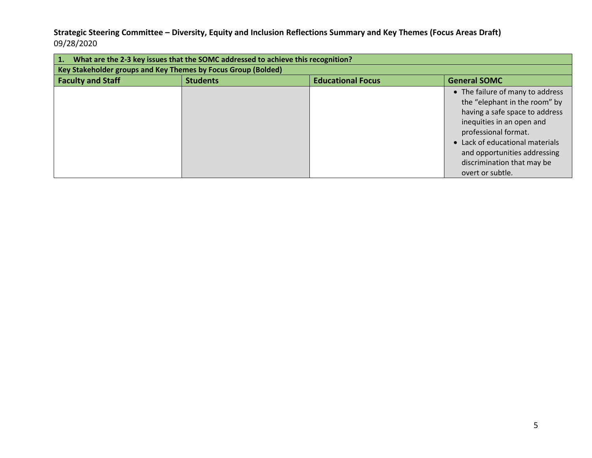| What are the 2-3 key issues that the SOMC addressed to achieve this recognition?<br>1. |                 |                          |                                                                                                                                                                                                                                                                               |  |  |
|----------------------------------------------------------------------------------------|-----------------|--------------------------|-------------------------------------------------------------------------------------------------------------------------------------------------------------------------------------------------------------------------------------------------------------------------------|--|--|
| Key Stakeholder groups and Key Themes by Focus Group (Bolded)                          |                 |                          |                                                                                                                                                                                                                                                                               |  |  |
| <b>Faculty and Staff</b>                                                               | <b>Students</b> | <b>Educational Focus</b> | <b>General SOMC</b>                                                                                                                                                                                                                                                           |  |  |
|                                                                                        |                 |                          | • The failure of many to address<br>the "elephant in the room" by<br>having a safe space to address<br>inequities in an open and<br>professional format.<br>• Lack of educational materials<br>and opportunities addressing<br>discrimination that may be<br>overt or subtle. |  |  |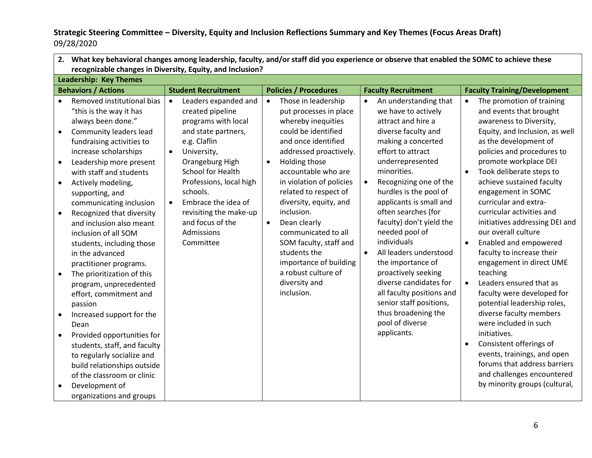|                                                                                         | 2. What key behavioral changes among leadership, faculty, and/or staff did you experience or observe that enabled the SOMC to achieve these<br>recognizable changes in Diversity, Equity, and Inclusion?                                                                                                                                                                                                                                                                                                                                                                                                                                                                                                                                                      |                                                                                                                                                                                                                                                                                                                                                    |                                                                                                                                                                                                                                                                                                                                                                                                                                                                                          |                                                                                                                                                                                                                                                                                                                                                                                                                                                                                                                                                                                                    |                                                                                                                                                                                                                                                                                                                                                                                                                                                                                                                                                                                                                                                                                                                                                                                                                                                                        |  |  |
|-----------------------------------------------------------------------------------------|---------------------------------------------------------------------------------------------------------------------------------------------------------------------------------------------------------------------------------------------------------------------------------------------------------------------------------------------------------------------------------------------------------------------------------------------------------------------------------------------------------------------------------------------------------------------------------------------------------------------------------------------------------------------------------------------------------------------------------------------------------------|----------------------------------------------------------------------------------------------------------------------------------------------------------------------------------------------------------------------------------------------------------------------------------------------------------------------------------------------------|------------------------------------------------------------------------------------------------------------------------------------------------------------------------------------------------------------------------------------------------------------------------------------------------------------------------------------------------------------------------------------------------------------------------------------------------------------------------------------------|----------------------------------------------------------------------------------------------------------------------------------------------------------------------------------------------------------------------------------------------------------------------------------------------------------------------------------------------------------------------------------------------------------------------------------------------------------------------------------------------------------------------------------------------------------------------------------------------------|------------------------------------------------------------------------------------------------------------------------------------------------------------------------------------------------------------------------------------------------------------------------------------------------------------------------------------------------------------------------------------------------------------------------------------------------------------------------------------------------------------------------------------------------------------------------------------------------------------------------------------------------------------------------------------------------------------------------------------------------------------------------------------------------------------------------------------------------------------------------|--|--|
|                                                                                         | <b>Leadership: Key Themes</b>                                                                                                                                                                                                                                                                                                                                                                                                                                                                                                                                                                                                                                                                                                                                 |                                                                                                                                                                                                                                                                                                                                                    |                                                                                                                                                                                                                                                                                                                                                                                                                                                                                          |                                                                                                                                                                                                                                                                                                                                                                                                                                                                                                                                                                                                    |                                                                                                                                                                                                                                                                                                                                                                                                                                                                                                                                                                                                                                                                                                                                                                                                                                                                        |  |  |
|                                                                                         | <b>Behaviors / Actions</b>                                                                                                                                                                                                                                                                                                                                                                                                                                                                                                                                                                                                                                                                                                                                    | <b>Student Recruitment</b>                                                                                                                                                                                                                                                                                                                         | <b>Policies / Procedures</b>                                                                                                                                                                                                                                                                                                                                                                                                                                                             | <b>Faculty Recruitment</b>                                                                                                                                                                                                                                                                                                                                                                                                                                                                                                                                                                         | <b>Faculty Training/Development</b>                                                                                                                                                                                                                                                                                                                                                                                                                                                                                                                                                                                                                                                                                                                                                                                                                                    |  |  |
| $\bullet$<br>$\bullet$<br>$\bullet$<br>$\bullet$<br>$\bullet$<br>$\bullet$<br>$\bullet$ | Removed institutional bias<br>"this is the way it has<br>always been done."<br>Community leaders lead<br>fundraising activities to<br>increase scholarships<br>Leadership more present<br>with staff and students<br>Actively modeling,<br>supporting, and<br>communicating inclusion<br>Recognized that diversity<br>and inclusion also meant<br>inclusion of all SOM<br>students, including those<br>in the advanced<br>practitioner programs.<br>The prioritization of this<br>program, unprecedented<br>effort, commitment and<br>passion<br>Increased support for the<br>Dean<br>Provided opportunities for<br>students, staff, and faculty<br>to regularly socialize and<br>build relationships outside<br>of the classroom or clinic<br>Development of | Leaders expanded and<br>$\bullet$<br>created pipeline<br>programs with local<br>and state partners,<br>e.g. Claflin<br>$\bullet$<br>University,<br>Orangeburg High<br><b>School for Health</b><br>Professions, local high<br>schools.<br>Embrace the idea of<br>$\bullet$<br>revisiting the make-up<br>and focus of the<br>Admissions<br>Committee | Those in leadership<br>$\bullet$<br>put processes in place<br>whereby inequities<br>could be identified<br>and once identified<br>addressed proactively.<br>Holding those<br>$\bullet$<br>accountable who are<br>in violation of policies<br>related to respect of<br>diversity, equity, and<br>inclusion.<br>Dean clearly<br>$\bullet$<br>communicated to all<br>SOM faculty, staff and<br>students the<br>importance of building<br>a robust culture of<br>diversity and<br>inclusion. | An understanding that<br>$\bullet$<br>we have to actively<br>attract and hire a<br>diverse faculty and<br>making a concerted<br>effort to attract<br>underrepresented<br>minorities.<br>Recognizing one of the<br>$\bullet$<br>hurdles is the pool of<br>applicants is small and<br>often searches (for<br>faculty) don't yield the<br>needed pool of<br>individuals<br>All leaders understood<br>$\bullet$<br>the importance of<br>proactively seeking<br>diverse candidates for<br>all faculty positions and<br>senior staff positions,<br>thus broadening the<br>pool of diverse<br>applicants. | The promotion of training<br>$\bullet$<br>and events that brought<br>awareness to Diversity,<br>Equity, and Inclusion, as well<br>as the development of<br>policies and procedures to<br>promote workplace DEI<br>Took deliberate steps to<br>$\bullet$<br>achieve sustained faculty<br>engagement in SOMC<br>curricular and extra-<br>curricular activities and<br>initiatives addressing DEI and<br>our overall culture<br>Enabled and empowered<br>faculty to increase their<br>engagement in direct UME<br>teaching<br>Leaders ensured that as<br>$\bullet$<br>faculty were developed for<br>potential leadership roles,<br>diverse faculty members<br>were included in such<br>initiatives.<br>Consistent offerings of<br>$\bullet$<br>events, trainings, and open<br>forums that address barriers<br>and challenges encountered<br>by minority groups (cultural, |  |  |
|                                                                                         | organizations and groups                                                                                                                                                                                                                                                                                                                                                                                                                                                                                                                                                                                                                                                                                                                                      |                                                                                                                                                                                                                                                                                                                                                    |                                                                                                                                                                                                                                                                                                                                                                                                                                                                                          |                                                                                                                                                                                                                                                                                                                                                                                                                                                                                                                                                                                                    |                                                                                                                                                                                                                                                                                                                                                                                                                                                                                                                                                                                                                                                                                                                                                                                                                                                                        |  |  |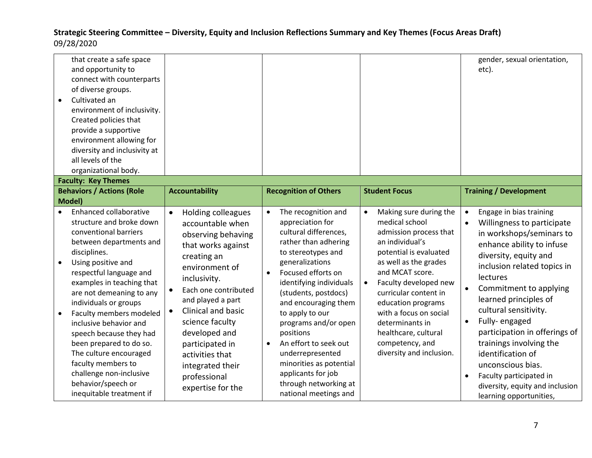| that create a safe space<br>and opportunity to<br>connect with counterparts<br>of diverse groups.<br>Cultivated an<br>environment of inclusivity.<br>Created policies that<br>provide a supportive<br>environment allowing for<br>diversity and inclusivity at<br>all levels of the<br>organizational body.                                                                                                                                                                                       |                                                                                                                                                                                                                                                                                                                                                                                   |                                                                                                                                                                                                                                                                                                                                                                                                                                                                                   |                                                                                                                                                                                                                                                                                                                                                                                   | gender, sexual orientation,<br>etc).                                                                                                                                                                                                                                                                                                                                                                                                                                                                                                            |
|---------------------------------------------------------------------------------------------------------------------------------------------------------------------------------------------------------------------------------------------------------------------------------------------------------------------------------------------------------------------------------------------------------------------------------------------------------------------------------------------------|-----------------------------------------------------------------------------------------------------------------------------------------------------------------------------------------------------------------------------------------------------------------------------------------------------------------------------------------------------------------------------------|-----------------------------------------------------------------------------------------------------------------------------------------------------------------------------------------------------------------------------------------------------------------------------------------------------------------------------------------------------------------------------------------------------------------------------------------------------------------------------------|-----------------------------------------------------------------------------------------------------------------------------------------------------------------------------------------------------------------------------------------------------------------------------------------------------------------------------------------------------------------------------------|-------------------------------------------------------------------------------------------------------------------------------------------------------------------------------------------------------------------------------------------------------------------------------------------------------------------------------------------------------------------------------------------------------------------------------------------------------------------------------------------------------------------------------------------------|
| <b>Faculty: Key Themes</b>                                                                                                                                                                                                                                                                                                                                                                                                                                                                        |                                                                                                                                                                                                                                                                                                                                                                                   |                                                                                                                                                                                                                                                                                                                                                                                                                                                                                   |                                                                                                                                                                                                                                                                                                                                                                                   |                                                                                                                                                                                                                                                                                                                                                                                                                                                                                                                                                 |
| <b>Behaviors / Actions (Role</b>                                                                                                                                                                                                                                                                                                                                                                                                                                                                  | <b>Accountability</b>                                                                                                                                                                                                                                                                                                                                                             | <b>Recognition of Others</b>                                                                                                                                                                                                                                                                                                                                                                                                                                                      | <b>Student Focus</b>                                                                                                                                                                                                                                                                                                                                                              | <b>Training / Development</b>                                                                                                                                                                                                                                                                                                                                                                                                                                                                                                                   |
| Model)                                                                                                                                                                                                                                                                                                                                                                                                                                                                                            |                                                                                                                                                                                                                                                                                                                                                                                   |                                                                                                                                                                                                                                                                                                                                                                                                                                                                                   |                                                                                                                                                                                                                                                                                                                                                                                   |                                                                                                                                                                                                                                                                                                                                                                                                                                                                                                                                                 |
| Enhanced collaborative<br>structure and broke down<br>conventional barriers<br>between departments and<br>disciplines.<br>Using positive and<br>respectful language and<br>examples in teaching that<br>are not demeaning to any<br>individuals or groups<br>Faculty members modeled<br>inclusive behavior and<br>speech because they had<br>been prepared to do so.<br>The culture encouraged<br>faculty members to<br>challenge non-inclusive<br>behavior/speech or<br>inequitable treatment if | <b>Holding colleagues</b><br>$\bullet$<br>accountable when<br>observing behaving<br>that works against<br>creating an<br>environment of<br>inclusivity.<br>Each one contributed<br>and played a part<br><b>Clinical and basic</b><br>$\bullet$<br>science faculty<br>developed and<br>participated in<br>activities that<br>integrated their<br>professional<br>expertise for the | The recognition and<br>$\bullet$<br>appreciation for<br>cultural differences,<br>rather than adhering<br>to stereotypes and<br>generalizations<br>Focused efforts on<br>$\bullet$<br>identifying individuals<br>(students, postdocs)<br>and encouraging them<br>to apply to our<br>programs and/or open<br>positions<br>An effort to seek out<br>$\bullet$<br>underrepresented<br>minorities as potential<br>applicants for job<br>through networking at<br>national meetings and | Making sure during the<br>$\bullet$<br>medical school<br>admission process that<br>an individual's<br>potential is evaluated<br>as well as the grades<br>and MCAT score.<br>Faculty developed new<br>$\bullet$<br>curricular content in<br>education programs<br>with a focus on social<br>determinants in<br>healthcare, cultural<br>competency, and<br>diversity and inclusion. | Engage in bias training<br>$\bullet$<br>Willingness to participate<br>$\bullet$<br>in workshops/seminars to<br>enhance ability to infuse<br>diversity, equity and<br>inclusion related topics in<br>lectures<br>Commitment to applying<br>$\bullet$<br>learned principles of<br>cultural sensitivity.<br>Fully-engaged<br>$\bullet$<br>participation in offerings of<br>trainings involving the<br>identification of<br>unconscious bias.<br>Faculty participated in<br>$\bullet$<br>diversity, equity and inclusion<br>learning opportunities, |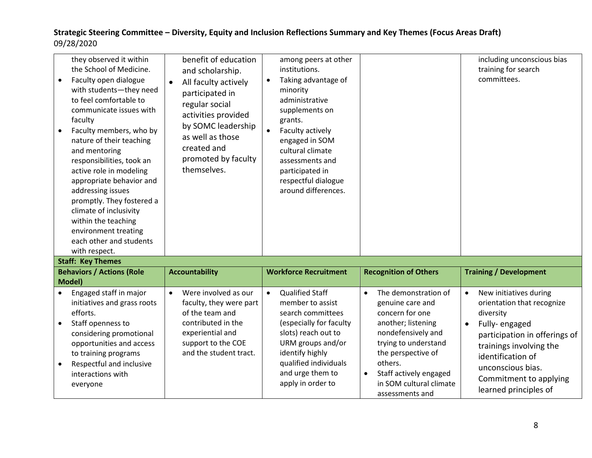| they observed it within<br>the School of Medicine.<br>Faculty open dialogue<br>with students-they need<br>to feel comfortable to<br>communicate issues with<br>faculty<br>Faculty members, who by<br>nature of their teaching<br>and mentoring<br>responsibilities, took an<br>active role in modeling<br>appropriate behavior and<br>addressing issues<br>promptly. They fostered a<br>climate of inclusivity<br>within the teaching<br>environment treating<br>each other and students<br>with respect. | benefit of education<br>and scholarship.<br>All faculty actively<br>$\bullet$<br>participated in<br>regular social<br>activities provided<br>by SOMC leadership<br>as well as those<br>created and<br>promoted by faculty<br>themselves. | among peers at other<br>institutions.<br>Taking advantage of<br>$\bullet$<br>minority<br>administrative<br>supplements on<br>grants.<br>$\bullet$<br>Faculty actively<br>engaged in SOM<br>cultural climate<br>assessments and<br>participated in<br>respectful dialogue<br>around differences. |                                     | including unconscious bias<br>training for search<br>committees. |
|-----------------------------------------------------------------------------------------------------------------------------------------------------------------------------------------------------------------------------------------------------------------------------------------------------------------------------------------------------------------------------------------------------------------------------------------------------------------------------------------------------------|------------------------------------------------------------------------------------------------------------------------------------------------------------------------------------------------------------------------------------------|-------------------------------------------------------------------------------------------------------------------------------------------------------------------------------------------------------------------------------------------------------------------------------------------------|-------------------------------------|------------------------------------------------------------------|
| <b>Staff: Key Themes</b>                                                                                                                                                                                                                                                                                                                                                                                                                                                                                  |                                                                                                                                                                                                                                          |                                                                                                                                                                                                                                                                                                 |                                     |                                                                  |
| <b>Behaviors / Actions (Role</b>                                                                                                                                                                                                                                                                                                                                                                                                                                                                          | <b>Accountability</b>                                                                                                                                                                                                                    | <b>Workforce Recruitment</b>                                                                                                                                                                                                                                                                    | <b>Recognition of Others</b>        | <b>Training / Development</b>                                    |
| Model)                                                                                                                                                                                                                                                                                                                                                                                                                                                                                                    |                                                                                                                                                                                                                                          |                                                                                                                                                                                                                                                                                                 |                                     |                                                                  |
| Engaged staff in major                                                                                                                                                                                                                                                                                                                                                                                                                                                                                    | Were involved as our<br>$\bullet$                                                                                                                                                                                                        | <b>Qualified Staff</b><br>$\bullet$                                                                                                                                                                                                                                                             | The demonstration of<br>$\bullet$   | New initiatives during<br>$\bullet$                              |
| initiatives and grass roots<br>efforts.                                                                                                                                                                                                                                                                                                                                                                                                                                                                   | faculty, they were part<br>of the team and                                                                                                                                                                                               | member to assist<br>search committees                                                                                                                                                                                                                                                           | genuine care and<br>concern for one | orientation that recognize<br>diversity                          |
| Staff openness to<br>$\bullet$                                                                                                                                                                                                                                                                                                                                                                                                                                                                            | contributed in the                                                                                                                                                                                                                       | (especially for faculty                                                                                                                                                                                                                                                                         | another; listening                  | Fully-engaged<br>$\bullet$                                       |
| considering promotional                                                                                                                                                                                                                                                                                                                                                                                                                                                                                   | experiential and                                                                                                                                                                                                                         | slots) reach out to                                                                                                                                                                                                                                                                             | nondefensively and                  | participation in offerings of                                    |
| opportunities and access                                                                                                                                                                                                                                                                                                                                                                                                                                                                                  | support to the COE                                                                                                                                                                                                                       | URM groups and/or                                                                                                                                                                                                                                                                               | trying to understand                | trainings involving the                                          |
| to training programs                                                                                                                                                                                                                                                                                                                                                                                                                                                                                      | and the student tract.                                                                                                                                                                                                                   | identify highly<br>qualified individuals                                                                                                                                                                                                                                                        | the perspective of<br>others.       | identification of                                                |
| Respectful and inclusive<br>$\bullet$<br>interactions with                                                                                                                                                                                                                                                                                                                                                                                                                                                |                                                                                                                                                                                                                                          | and urge them to                                                                                                                                                                                                                                                                                | Staff actively engaged<br>$\bullet$ | unconscious bias.                                                |
| everyone                                                                                                                                                                                                                                                                                                                                                                                                                                                                                                  |                                                                                                                                                                                                                                          | apply in order to                                                                                                                                                                                                                                                                               | in SOM cultural climate             | Commitment to applying<br>learned principles of                  |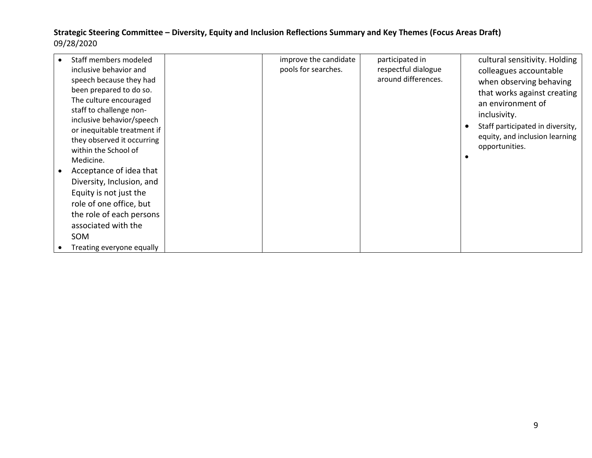| Staff members modeled<br>inclusive behavior and<br>speech because they had<br>been prepared to do so.<br>The culture encouraged<br>staff to challenge non-                          | improve the candidate<br>pools for searches. | participated in<br>respectful dialogue<br>around differences. | cultural sensitivity. Holding<br>colleagues accountable<br>when observing behaving<br>that works against creating<br>an environment of<br>inclusivity. |
|-------------------------------------------------------------------------------------------------------------------------------------------------------------------------------------|----------------------------------------------|---------------------------------------------------------------|--------------------------------------------------------------------------------------------------------------------------------------------------------|
| inclusive behavior/speech<br>or inequitable treatment if<br>they observed it occurring<br>within the School of<br>Medicine.<br>Acceptance of idea that<br>Diversity, Inclusion, and |                                              |                                                               | Staff participated in diversity,<br>$\bullet$<br>equity, and inclusion learning<br>opportunities.<br>$\bullet$                                         |
| Equity is not just the<br>role of one office, but<br>the role of each persons<br>associated with the<br><b>SOM</b><br>Treating everyone equally                                     |                                              |                                                               |                                                                                                                                                        |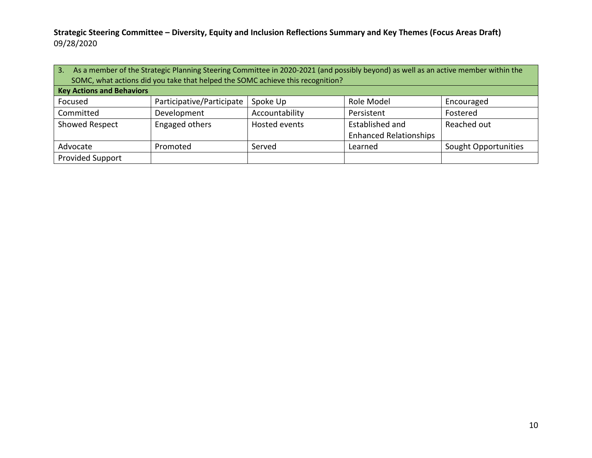| 3.                                                                | As a member of the Strategic Planning Steering Committee in 2020-2021 (and possibly beyond) as well as an active member within the<br>SOMC, what actions did you take that helped the SOMC achieve this recognition? |                |                 |             |  |  |  |
|-------------------------------------------------------------------|----------------------------------------------------------------------------------------------------------------------------------------------------------------------------------------------------------------------|----------------|-----------------|-------------|--|--|--|
| <b>Key Actions and Behaviors</b>                                  |                                                                                                                                                                                                                      |                |                 |             |  |  |  |
| Focused                                                           | Participative/Participate                                                                                                                                                                                            | Spoke Up       | Role Model      | Encouraged  |  |  |  |
| Committed                                                         | Development                                                                                                                                                                                                          | Accountability | Persistent      | Fostered    |  |  |  |
| Engaged others<br><b>Showed Respect</b>                           |                                                                                                                                                                                                                      | Hosted events  | Established and | Reached out |  |  |  |
|                                                                   | <b>Enhanced Relationships</b>                                                                                                                                                                                        |                |                 |             |  |  |  |
| Advocate<br>Served<br>Sought Opportunities<br>Promoted<br>Learned |                                                                                                                                                                                                                      |                |                 |             |  |  |  |
| <b>Provided Support</b>                                           |                                                                                                                                                                                                                      |                |                 |             |  |  |  |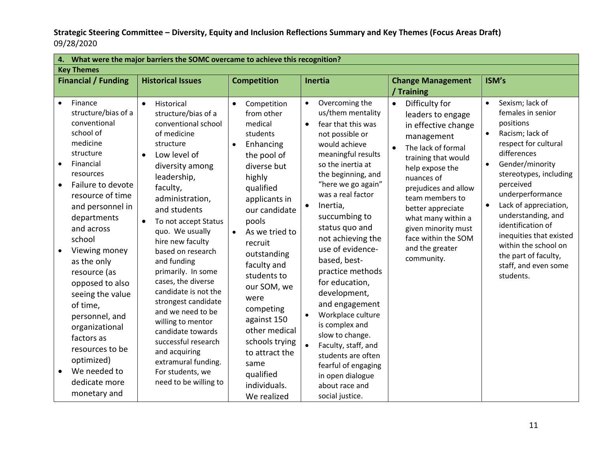| 4.                                                                                                                                                                                                                                                                                                                                                                                                                                                                                  | What were the major barriers the SOMC overcame to achieve this recognition?                                                                                                                                                                                                                                                                                                                                                                                                                                                                                                                           |                                                                                                                                                                                                                                                                                                                                                                                                                  |                                                                                                                                                                                                                                                                                                                                                                                                                                                                                                                                                                                                                                      |                                                                                                                                                                                                                                                                                                                                          |                                                                                                                                                                                                                                                                                                                                                                                                                      |  |  |
|-------------------------------------------------------------------------------------------------------------------------------------------------------------------------------------------------------------------------------------------------------------------------------------------------------------------------------------------------------------------------------------------------------------------------------------------------------------------------------------|-------------------------------------------------------------------------------------------------------------------------------------------------------------------------------------------------------------------------------------------------------------------------------------------------------------------------------------------------------------------------------------------------------------------------------------------------------------------------------------------------------------------------------------------------------------------------------------------------------|------------------------------------------------------------------------------------------------------------------------------------------------------------------------------------------------------------------------------------------------------------------------------------------------------------------------------------------------------------------------------------------------------------------|--------------------------------------------------------------------------------------------------------------------------------------------------------------------------------------------------------------------------------------------------------------------------------------------------------------------------------------------------------------------------------------------------------------------------------------------------------------------------------------------------------------------------------------------------------------------------------------------------------------------------------------|------------------------------------------------------------------------------------------------------------------------------------------------------------------------------------------------------------------------------------------------------------------------------------------------------------------------------------------|----------------------------------------------------------------------------------------------------------------------------------------------------------------------------------------------------------------------------------------------------------------------------------------------------------------------------------------------------------------------------------------------------------------------|--|--|
| <b>Key Themes</b>                                                                                                                                                                                                                                                                                                                                                                                                                                                                   |                                                                                                                                                                                                                                                                                                                                                                                                                                                                                                                                                                                                       |                                                                                                                                                                                                                                                                                                                                                                                                                  |                                                                                                                                                                                                                                                                                                                                                                                                                                                                                                                                                                                                                                      |                                                                                                                                                                                                                                                                                                                                          |                                                                                                                                                                                                                                                                                                                                                                                                                      |  |  |
| <b>Financial / Funding</b>                                                                                                                                                                                                                                                                                                                                                                                                                                                          | <b>Historical Issues</b>                                                                                                                                                                                                                                                                                                                                                                                                                                                                                                                                                                              | <b>Competition</b>                                                                                                                                                                                                                                                                                                                                                                                               | Inertia                                                                                                                                                                                                                                                                                                                                                                                                                                                                                                                                                                                                                              | <b>Change Management</b>                                                                                                                                                                                                                                                                                                                 | ISM's                                                                                                                                                                                                                                                                                                                                                                                                                |  |  |
|                                                                                                                                                                                                                                                                                                                                                                                                                                                                                     |                                                                                                                                                                                                                                                                                                                                                                                                                                                                                                                                                                                                       |                                                                                                                                                                                                                                                                                                                                                                                                                  |                                                                                                                                                                                                                                                                                                                                                                                                                                                                                                                                                                                                                                      | / Training                                                                                                                                                                                                                                                                                                                               |                                                                                                                                                                                                                                                                                                                                                                                                                      |  |  |
| Finance<br>$\bullet$<br>structure/bias of a<br>conventional<br>school of<br>medicine<br>structure<br>Financial<br>$\bullet$<br>resources<br>Failure to devote<br>resource of time<br>and personnel in<br>departments<br>and across<br>school<br>Viewing money<br>as the only<br>resource (as<br>opposed to also<br>seeing the value<br>of time,<br>personnel, and<br>organizational<br>factors as<br>resources to be<br>optimized)<br>We needed to<br>dedicate more<br>monetary and | $\bullet$<br>Historical<br>structure/bias of a<br>conventional school<br>of medicine<br>structure<br>Low level of<br>$\bullet$<br>diversity among<br>leadership,<br>faculty,<br>administration,<br>and students<br>To not accept Status<br>$\bullet$<br>quo. We usually<br>hire new faculty<br>based on research<br>and funding<br>primarily. In some<br>cases, the diverse<br>candidate is not the<br>strongest candidate<br>and we need to be<br>willing to mentor<br>candidate towards<br>successful research<br>and acquiring<br>extramural funding.<br>For students, we<br>need to be willing to | Competition<br>from other<br>medical<br>students<br>Enhancing<br>$\bullet$<br>the pool of<br>diverse but<br>highly<br>qualified<br>applicants in<br>our candidate<br>pools<br>As we tried to<br>recruit<br>outstanding<br>faculty and<br>students to<br>our SOM, we<br>were<br>competing<br>against 150<br>other medical<br>schools trying<br>to attract the<br>same<br>qualified<br>individuals.<br>We realized | Overcoming the<br>$\bullet$<br>us/them mentality<br>fear that this was<br>$\bullet$<br>not possible or<br>would achieve<br>meaningful results<br>so the inertia at<br>the beginning, and<br>"here we go again"<br>was a real factor<br>Inertia,<br>$\bullet$<br>succumbing to<br>status quo and<br>not achieving the<br>use of evidence-<br>based, best-<br>practice methods<br>for education,<br>development,<br>and engagement<br>Workplace culture<br>is complex and<br>slow to change.<br>$\bullet$<br>Faculty, staff, and<br>students are often<br>fearful of engaging<br>in open dialogue<br>about race and<br>social justice. | Difficulty for<br>$\bullet$<br>leaders to engage<br>in effective change<br>management<br>The lack of formal<br>training that would<br>help expose the<br>nuances of<br>prejudices and allow<br>team members to<br>better appreciate<br>what many within a<br>given minority must<br>face within the SOM<br>and the greater<br>community. | Sexism; lack of<br>$\bullet$<br>females in senior<br>positions<br>Racism; lack of<br>respect for cultural<br>differences<br>Gender/minority<br>$\bullet$<br>stereotypes, including<br>perceived<br>underperformance<br>Lack of appreciation,<br>$\bullet$<br>understanding, and<br>identification of<br>inequities that existed<br>within the school on<br>the part of faculty,<br>staff, and even some<br>students. |  |  |